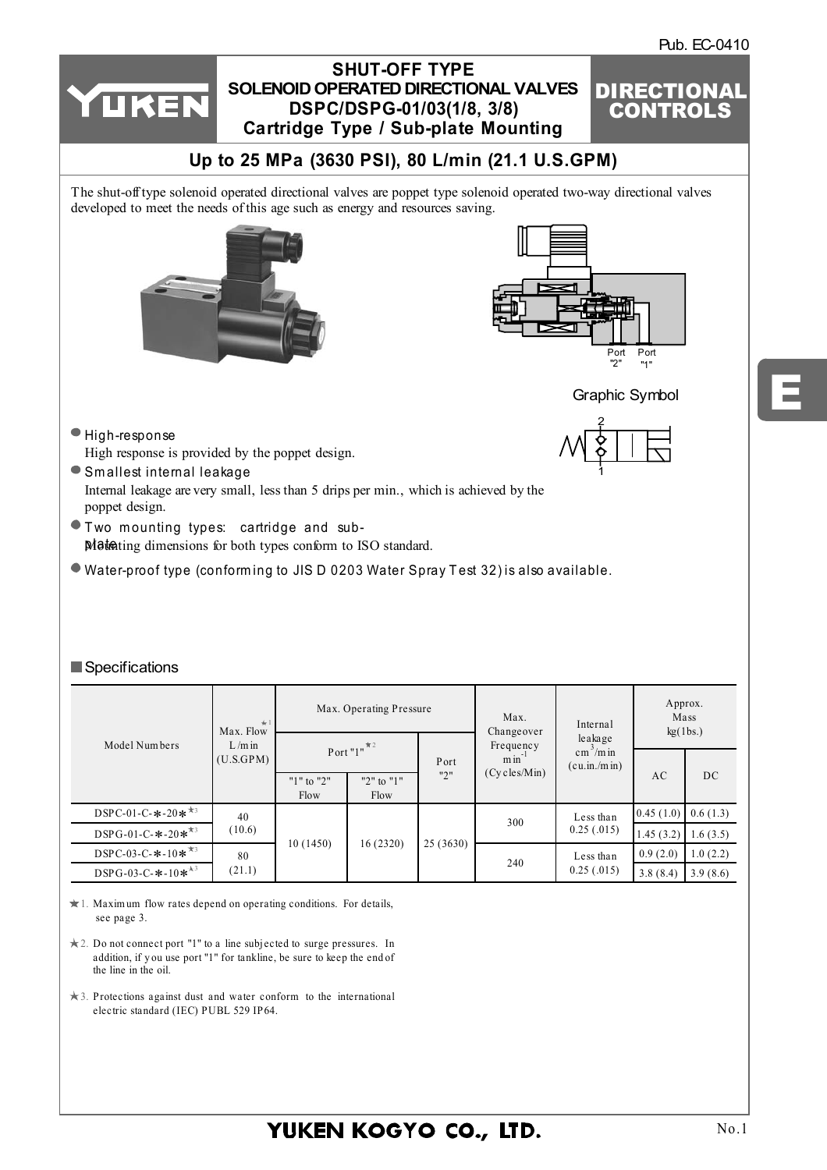E



|                                                       | $+1$<br>Max. Flow     |                            | Max. Operating Pressure    |          |                                       | Internal                                              | Approx.<br>Mass<br>kg(1bs.) |          |
|-------------------------------------------------------|-----------------------|----------------------------|----------------------------|----------|---------------------------------------|-------------------------------------------------------|-----------------------------|----------|
| Model Numbers                                         | $L/m$ in<br>(U.S.GPM) |                            | Port " $1$ " <sup>*2</sup> | Port     | Changeover<br>Frequency<br>$min^{-1}$ | leakage<br>$\text{cm}^3/\text{m}$ in<br>(cu.in./m in) |                             |          |
|                                                       |                       | " $1$ " to " $2$ "<br>Flow | "2" to "1"<br>Flow         | "2"      | $(Cy$ cles/Min $)$                    |                                                       | AC                          | DC       |
| DSPC-01-C- $*$ -20 $*$ <sup>*3</sup>                  | 40                    |                            | 16(2320)                   |          |                                       | Less than<br>0.25(.015)                               | 0.45(1.0)                   | 0.6(1.3) |
| DSPG-01-C- $*$ -20 $*$ <sup>*3</sup>                  | (10.6)                |                            |                            |          | 300                                   |                                                       | 1.45(3.2)                   | 1.6(3.5) |
| DSPC-03-C- $*$ -10 $*$ <sup>*3</sup>                  | 80                    | 10(1450)                   |                            | 25(3630) | 240                                   | Less than                                             | 0.9(2.0)                    | 1.0(2.2) |
| DSPG-03-C- $*$ -10 $*$ <sup><math>\star</math>3</sup> | (21.1)                |                            |                            |          |                                       | 0.25(.015)                                            | 3.8(8.4)                    | 3.9(8.6) |

1. Maxim um flow rates depend on operating conditions. For details, see page 3.

- 2. Do not connect port "1" to a line subjected to surge pressures. In addition, if you use port "1" for tankline, be sure to keep the end of the line in the oil.
- 3. Protections against dust and water conform to the international electric standard (IEC) PUBL 529 IP64.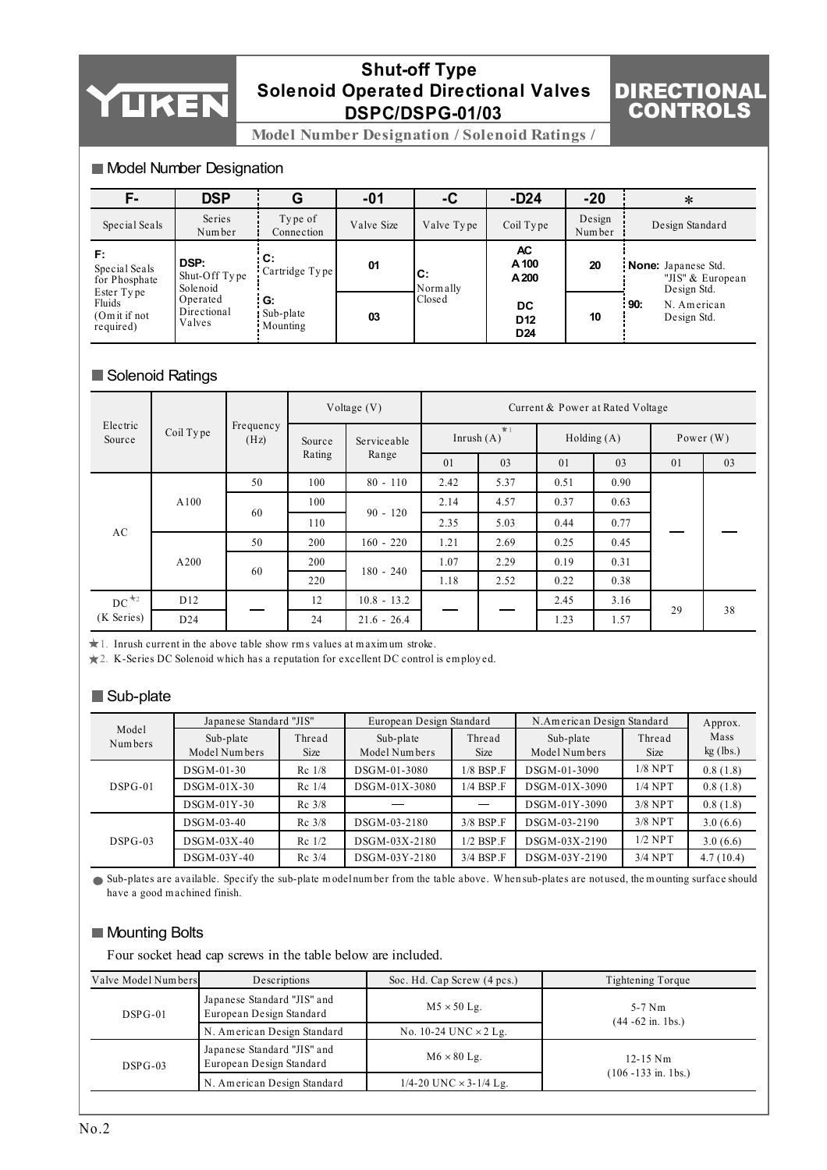# YUKEN

## **Shut-off Type Solenoid Operated Directional Valves DSPC/DSPG-01/03**

## DIRECTIONAL CONTROLS

**Model Number Designation / Solenoid Ratings /** 

#### Model Number Designation

| F-                                                   | <b>DSP</b>                        |                               | $-01$      | -C             | $-D24$                                          | $-20$            | ∗                                                             |
|------------------------------------------------------|-----------------------------------|-------------------------------|------------|----------------|-------------------------------------------------|------------------|---------------------------------------------------------------|
| Special Seals                                        | Series<br>Number                  | Type of<br>Connection         | Valve Size | Valve Type     | Coil Type                                       | Design<br>Number | Design Standard                                               |
| F:<br>Special Seals<br>for Phosphate                 | DSP:<br>Shut-Off Type<br>Solenoid | : C:<br>Cartridge Type        | 01         | C:<br>Normally | AC<br>A 100<br>A 200                            | 20               | <b>None:</b> Japanese Std.<br>"JIS" & European<br>Design Std. |
| Ester Type<br>Fluids<br>$(0m$ it if not<br>required) | Operated<br>Directional<br>Valves | i G:<br>Sub-plate<br>Mounting | 03         | Closed         | <b>DC</b><br>D <sub>12</sub><br>D <sub>24</sub> | 10               | : 90:<br>N. American<br>Design Std.                           |

### Solenoid Ratings

|                                 |                 | Voltage $(V)$     |                                          | Current & Power at Rated Voltage |      |            |      |             |    |    |
|---------------------------------|-----------------|-------------------|------------------------------------------|----------------------------------|------|------------|------|-------------|----|----|
| Electric<br>Coil Type<br>Source |                 | Frequency<br>(Hz) | Serviceable<br>Source<br>Rating<br>Range | $\pi$ 1<br>Inrush $(A)$          |      | Holding(A) |      | Power $(W)$ |    |    |
|                                 |                 |                   |                                          |                                  | 01   | 03         | 01   | 03          | 01 | 03 |
|                                 |                 | 50                | 100                                      | $80 - 110$                       | 2.42 | 5.37       | 0.51 | 0.90        |    |    |
| A100                            |                 | 100               |                                          | 2.14                             | 4.57 | 0.37       | 0.63 |             |    |    |
| AC                              |                 | 60                | 110                                      | $90 - 120$                       | 2.35 | 5.03       | 0.44 | 0.77        |    |    |
|                                 |                 | 50                | 200                                      | $160 - 220$                      | 1.21 | 2.69       | 0.25 | 0.45        |    |    |
|                                 | A200            | 60                | 200                                      | $180 - 240$                      | 1.07 | 2.29       | 0.19 | 0.31        |    |    |
|                                 |                 |                   | 220                                      |                                  | 1.18 | 2.52       | 0.22 | 0.38        |    |    |
| $DC^{\star_2}$                  | D <sub>12</sub> |                   | 12                                       | $10.8 - 13.2$                    |      | 2.45       | 3.16 | 29          | 38 |    |
| (K Series)                      | D24             |                   | 24                                       | $21.6 - 26.4$                    |      |            | 1.23 | 1.57        |    |    |

1. Inrush current in the above table show rm s values at m axim um stroke.

2. K-Series DC Solenoid which has a reputation for excellent DC control is em ploy ed.

#### Sub-plate

| Model     | Japanese Standard "JIS"    |                                              | European Design Standard |                    | N.American Design Standard | Approx.        |                     |  |
|-----------|----------------------------|----------------------------------------------|--------------------------|--------------------|----------------------------|----------------|---------------------|--|
| Numbers   | Sub-plate<br>Model Numbers | Sub-plate<br>Thread<br>Model Numbers<br>Size |                          | Thread<br>Size     | Sub-plate<br>Model Numbers | Thread<br>Size | Mass<br>$kg$ (lbs.) |  |
|           | DSGM-01-30                 | $Rc$ 1/8                                     | DSGM-01-3080             | $1/8$ BSP $\Gamma$ | DSGM-01-3090               | $1/8$ NPT      | 0.8(1.8)            |  |
| $DSPG-01$ | DSGM-01X-30                | Rc 1/4                                       | DSGM-01X-3080            | $1/4$ BSP $\Gamma$ | DSGM-01X-3090              | $1/4$ NPT      | 0.8(1.8)            |  |
|           | DSGM-01Y-30                | $Rc$ 3/8                                     |                          |                    | DSGM-01Y-3090              | $3/8$ NPT      | 0.8(1.8)            |  |
|           | DSGM-03-40                 | $Rc$ 3/8                                     | DSGM-03-2180             | $3/8$ BSP $\Gamma$ | DSGM-03-2190               | $3/8$ NPT      | 3.0(6.6)            |  |
| $DSPG-03$ | DSGM-03X-40                | $Re$ 1/2                                     | DSGM-03X-2180            | $1/2$ BSP $\Gamma$ | DSGM-03X-2190              | $1/2$ NPT      | 3.0(6.6)            |  |
|           | DSGM-03Y-40                | $Rc$ 3/4                                     | DSGM-03Y-2180            | 3/4 BSP.F          | DSGM-03Y-2190              | $3/4$ NPT      | 4.7(10.4)           |  |

Sub-plates are available. Specify the sub-plate m odel num ber from the table above. W hen sub-plates are not used, the m ounting surface should have a good m achined finish.

#### **Mounting Bolts**

Four socket head cap screws in the table below are included.

| Valve Model Numbers | Descriptions                                            | Soc. Hd. Cap Screw (4 pcs.)       | Tightening Torque                                 |  |  |
|---------------------|---------------------------------------------------------|-----------------------------------|---------------------------------------------------|--|--|
| $DSPG-01$           | Japanese Standard "JIS" and<br>European Design Standard | $M5 \times 50$ Lg.                | $5-7$ Nm<br>$(44 - 62 \text{ in.} 1 \text{ bs.})$ |  |  |
|                     | N. American Design Standard                             | No. 10-24 UNC $\times$ 2 Lg.      |                                                   |  |  |
| $DSPG-03$           | Japanese Standard "JIS" and<br>European Design Standard | $M6 \times 80$ Lg.                | $12 - 15$ Nm                                      |  |  |
|                     | N. American Design Standard                             | $1/4 - 20$ UNC $\times$ 3-1/4 Lg. | $(106 - 133$ in. 1bs.)                            |  |  |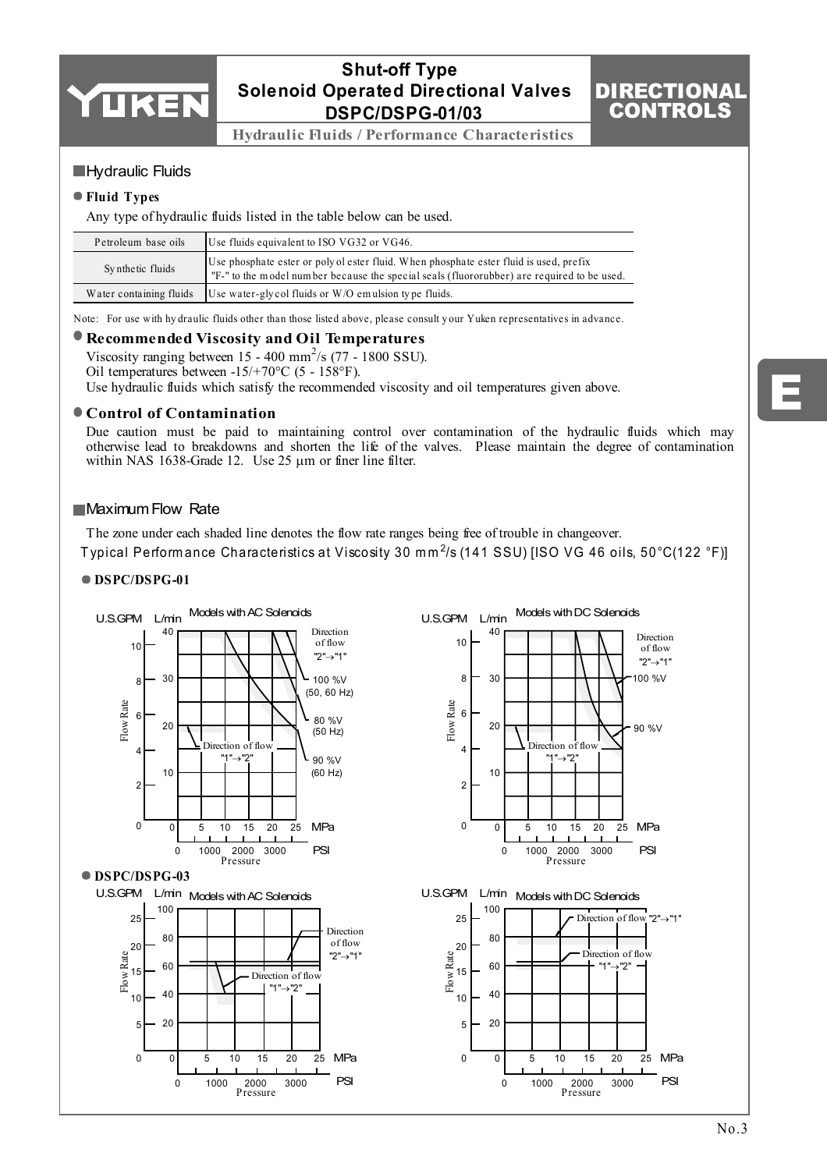

## **Shut-off Type Solenoid Operated Directional Valves DSPC/DSPG-01/03**

**Hydraulic Fluids / Performance Characteristics**

#### **Hydraulic Fluids**

#### **Fluid Types**

Any type of hydraulic fluids listed in the table below can be used.

| Petroleum base oils | Use fluids equivalent to ISO VG32 or VG46.                                                                                                                                           |
|---------------------|--------------------------------------------------------------------------------------------------------------------------------------------------------------------------------------|
| Synthetic fluids    | Use phosphate ester or polyol ester fluid. When phosphate ester fluid is used, prefix<br>I'F-" to the model number because the special seals (fluororubber) are required to be used. |
|                     | Water containing fluids Use water-gly col fluids or $W/O$ emulsion type fluids.                                                                                                      |

Note: For use with hy draulic fluids other than those listed above, please consult y our Yuken representatives in advance.

#### **Recommended Viscosity and Oil Temperatures**

Viscosity ranging between 15 - 400 mm<sup>2</sup>/s (77 - 1800 SSU). Oil temperatures between -15/+70°C (5 - 158°F).

Use hydraulic fluids which satisfy the recommended viscosity and oil temperatures given above.

#### **Control of Contamination**

Due caution must be paid to maintaining control over contamination of the hydraulic fluids which may otherwise lead to breakdowns and shorten the life of the valves. Please maintain the degree of contamination within NAS 1638-Grade 12. Use 25  $\mu$ m or finer line filter.

#### **Maximum Flow Rate**

The zone under each shaded line denotes the flow rate ranges being free of trouble in changeover. Typical Perform ance Characteristics at Viscosity 30 mm<sup>2</sup>/s (141 SSU) [ISO VG 46 oils, 50°C(122 °F)]

#### **DSPC/DSPG-01**



## E

DIRECTIONAL CONTROLS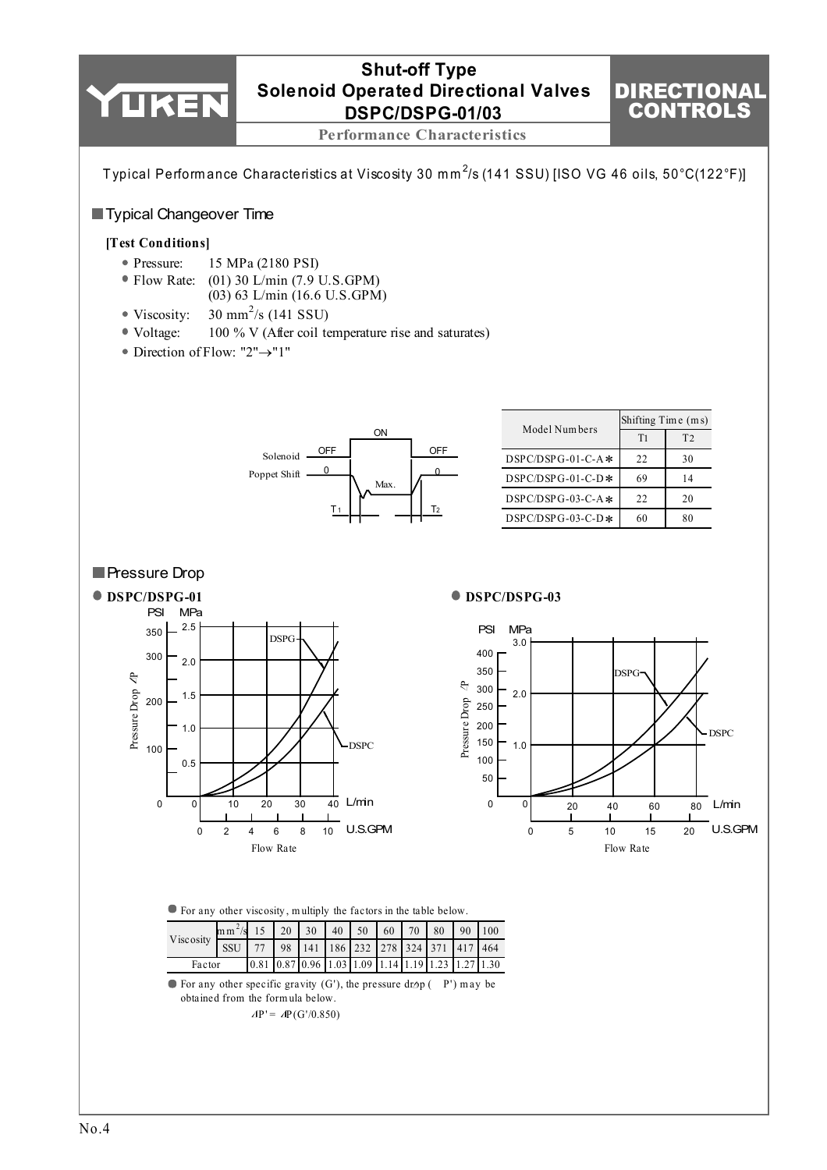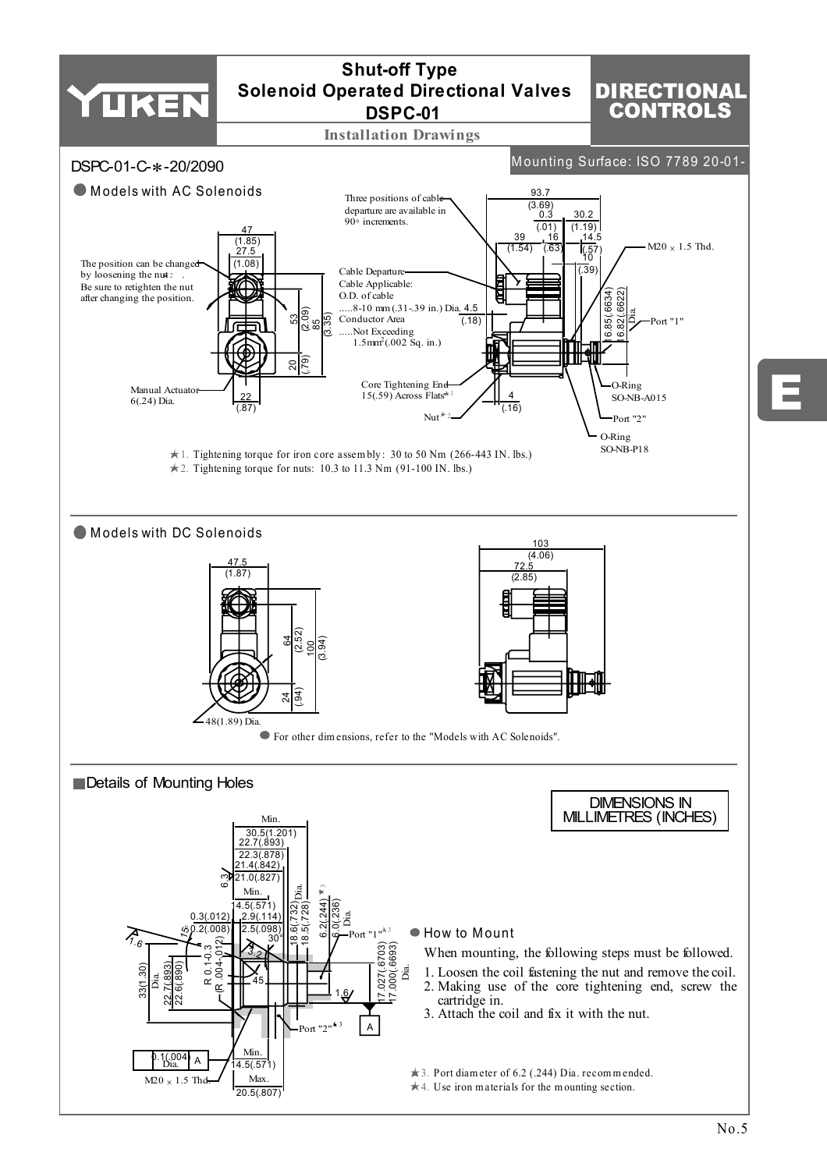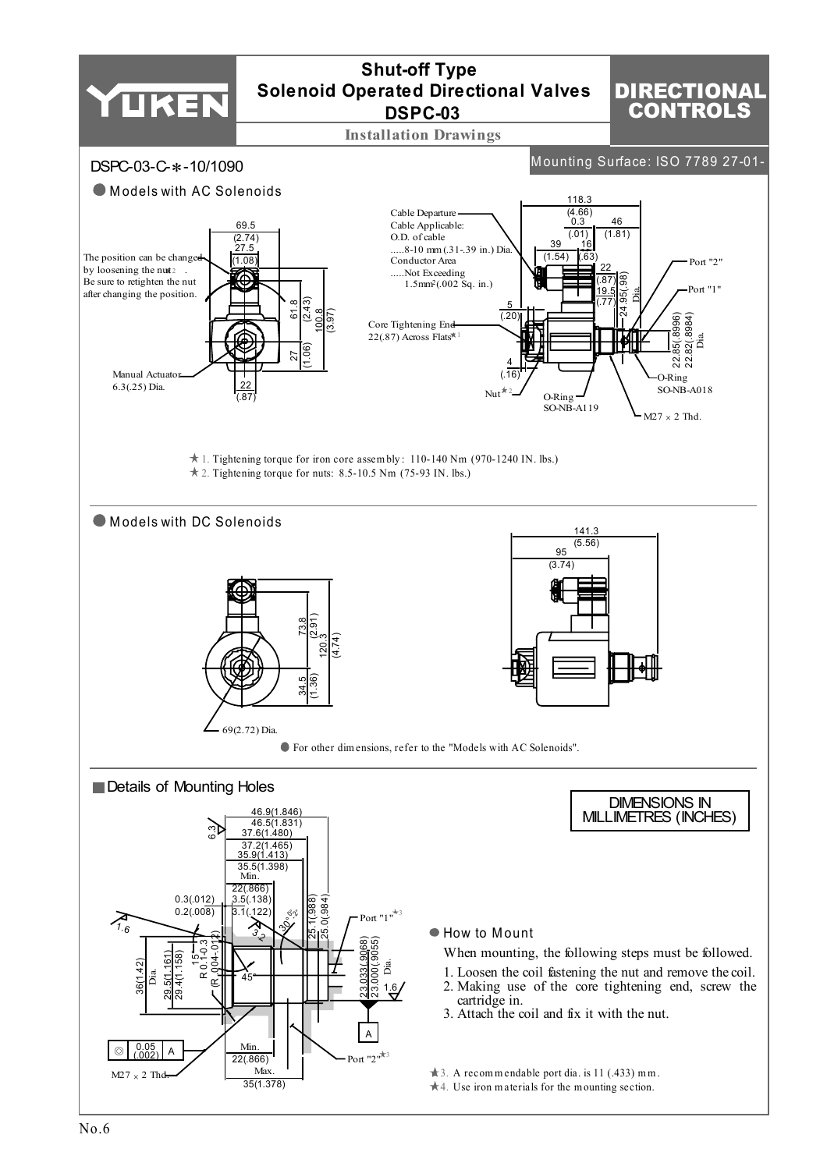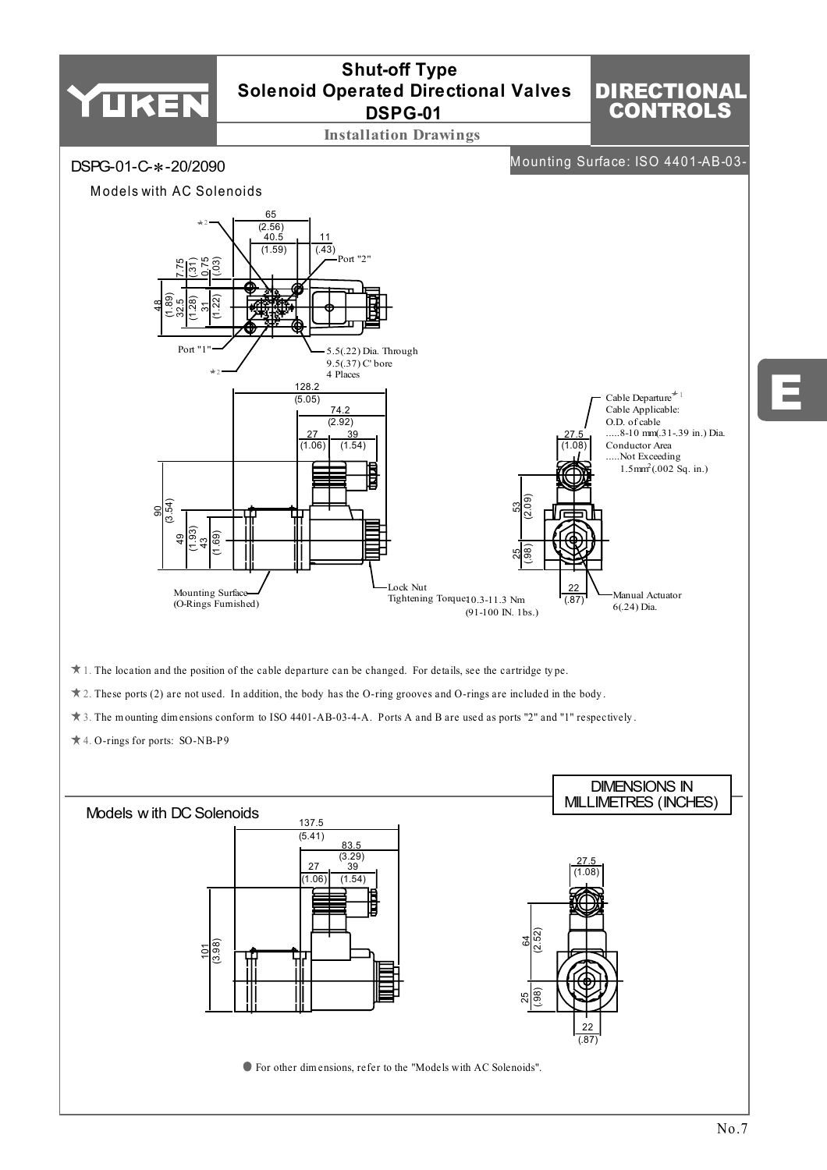

No.7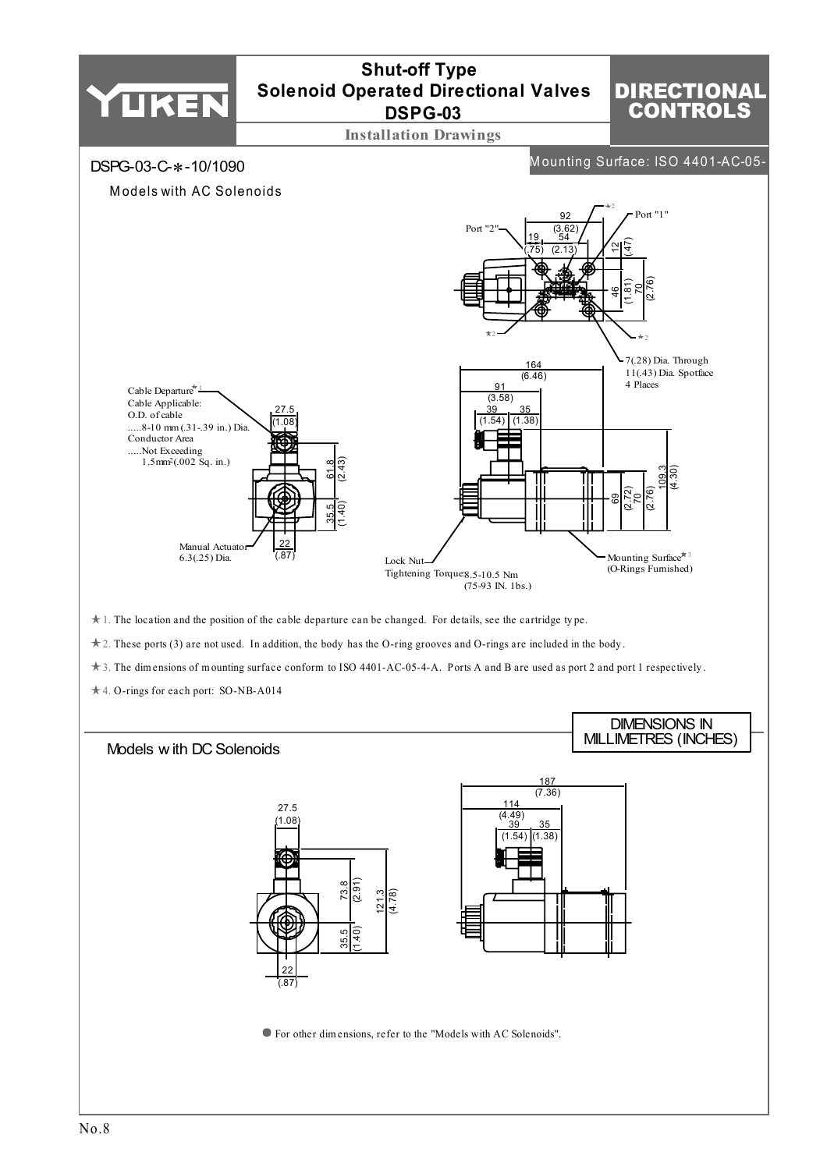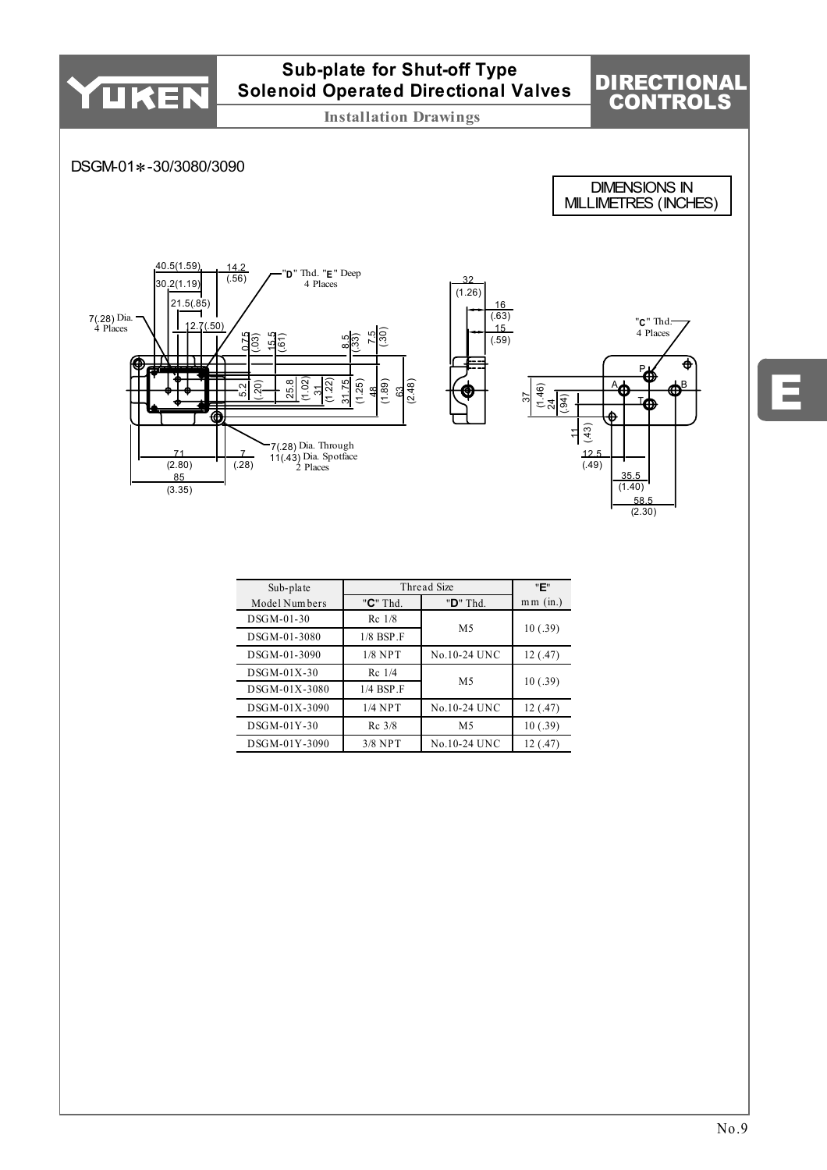

E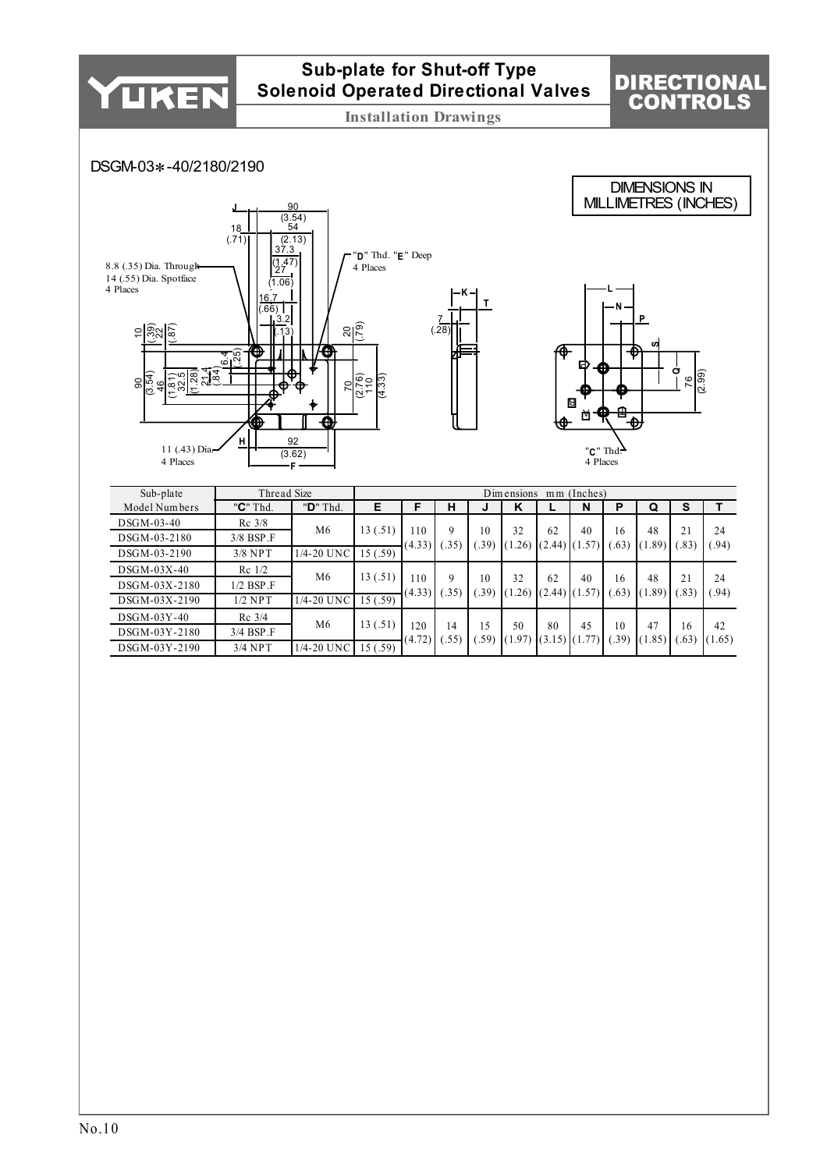

## **Sub-plate for Shut-off Type Solenoid Operated Directional Valves**

**Installation Drawings**

**T**

7 (.28)

## DIRECTIONAL CONTROLS

DIMENSIONS IN MILLIMETRES (INCHES)

## DSGM-03∗-40/2180/2190





| Sub-plate     | Thread Size        |                |          |               |                     |            | Dimensions   | m <sub>m</sub> | (Inches)  |            |                                  |           |             |
|---------------|--------------------|----------------|----------|---------------|---------------------|------------|--------------|----------------|-----------|------------|----------------------------------|-----------|-------------|
| Model Numbers | "C" Thd.           | " $D$ " Thd.   | Е        | F             | н                   | J          | K            |                | N         | Р          | Q                                | s         |             |
| DSGM-03-40    | $Rc$ 3/8           | M6             | 13(.51)  |               |                     |            |              |                |           |            |                                  |           |             |
| DSGM-03-2180  | $3/8$ BSP $\Gamma$ |                |          | 10            | 9                   | 10         | 32           | 62             | 40        | 16         | 48                               | 21        | 24          |
| DSGM-03-2190  | $3/8$ NPT          | 1/4-20 UNC     | 15(.59)  | (4.33)        | $.35^{\circ}$       | .39)       | (1.26)       | (2.44)         | (1.57)    | (63)       | $.89^{\circ}$<br>$\mathsf{I}(1)$ | .83       | (94)        |
| $DSGM-03X-40$ | $Re$ 1/2           | M <sub>6</sub> | 13(.51)  |               |                     |            |              |                |           |            |                                  |           |             |
| DSGM-03X-2180 | $1/2$ BSP $\Gamma$ |                |          | 10<br>(4.33)  | 9                   | 10<br>.39) | 32<br>(1.26) | 62<br>(2.44)   | 40<br>.57 | 16<br>(63) | 48<br>$.89^{\circ}$              | 21<br>.83 | 24<br>(.94) |
| DSGM-03X-2190 | $1/2$ NPT          | 1/4-20 UNC     | 15 (.59) |               | $.35^{\circ}$       |            |              |                |           |            |                                  |           |             |
| $DSGM-03Y-40$ | $Rc$ 3/4           |                |          |               |                     |            |              |                |           |            |                                  |           |             |
| DSGM-03Y-2180 | 3/4 BSP.F          | M <sub>6</sub> | 13(.51)  | 120<br>(4.72) | 14<br>$.55^{\circ}$ | 15<br>.59) | 50<br>(1.97) | 80<br>(3.15)   | 45        | 10<br>.39) | 47<br>(1.85)                     | 16<br>.63 | 42<br>1.65) |
| DSGM-03Y-2190 | $3/4$ NPT          | 1/4-20 UNC     | 15(.59)  |               |                     |            |              |                |           |            |                                  |           |             |